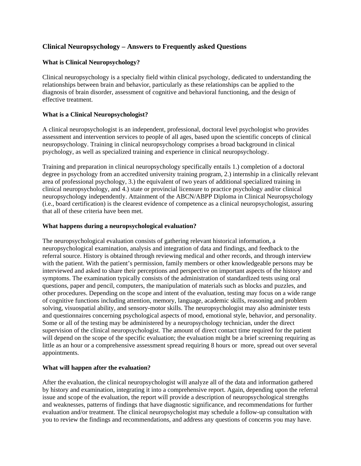# **Clinical Neuropsychology – Answers to Frequently asked Questions**

#### **What is Clinical Neuropsychology?**

Clinical neuropsychology is a specialty field within clinical psychology, dedicated to understanding the relationships between brain and behavior, particularly as these relationships can be applied to the diagnosis of brain disorder, assessment of cognitive and behavioral functioning, and the design of effective treatment.

#### **What is a Clinical Neuropsychologist?**

A clinical neuropsychologist is an independent, professional, doctoral level psychologist who provides assessment and intervention services to people of all ages, based upon the scientific concepts of clinical neuropsychology. Training in clinical neuropsychology comprises a broad background in clinical psychology, as well as specialized training and experience in clinical neuropsychology.

Training and preparation in clinical neuropsychology specifically entails 1.) completion of a doctoral degree in psychology from an accredited university training program, 2.) internship in a clinically relevant area of professional psychology, 3.) the equivalent of two years of additional specialized training in clinical neuropsychology, and 4.) state or provincial licensure to practice psychology and/or clinical neuropsychology independently. Attainment of the ABCN/ABPP Diploma in Clinical Neuropsychology (i.e., board certification) is the clearest evidence of competence as a clinical neuropsychologist, assuring that all of these criteria have been met.

#### **What happens during a neuropsychological evaluation?**

The neuropsychological evaluation consists of gathering relevant historical information, a neuropsychological examination, analysis and integration of data and findings, and feedback to the referral source. History is obtained through reviewing medical and other records, and through interview with the patient. With the patient's permission, family members or other knowledgeable persons may be interviewed and asked to share their perceptions and perspective on important aspects of the history and symptoms. The examination typically consists of the administration of standardized tests using oral questions, paper and pencil, computers, the manipulation of materials such as blocks and puzzles, and other procedures. Depending on the scope and intent of the evaluation, testing may focus on a wide range of cognitive functions including attention, memory, language, academic skills, reasoning and problem solving, visuospatial ability, and sensory-motor skills. The neuropsychologist may also administer tests and questionnaires concerning psychological aspects of mood, emotional style, behavior, and personality. Some or all of the testing may be administered by a neuropsychology technician, under the direct supervision of the clinical neuropsychologist. The amount of direct contact time required for the patient will depend on the scope of the specific evaluation; the evaluation might be a brief screening requiring as little as an hour or a comprehensive assessment spread requiring 8 hours or more, spread out over several appointments.

## **What will happen after the evaluation?**

After the evaluation, the clinical neuropsychologist will analyze all of the data and information gathered by history and examination, integrating it into a comprehensive report. Again, depending upon the referral issue and scope of the evaluation, the report will provide a description of neuropsychological strengths and weaknesses, patterns of findings that have diagnostic significance, and recommendations for further evaluation and/or treatment. The clinical neuropsychologist may schedule a follow-up consultation with you to review the findings and recommendations, and address any questions of concerns you may have.